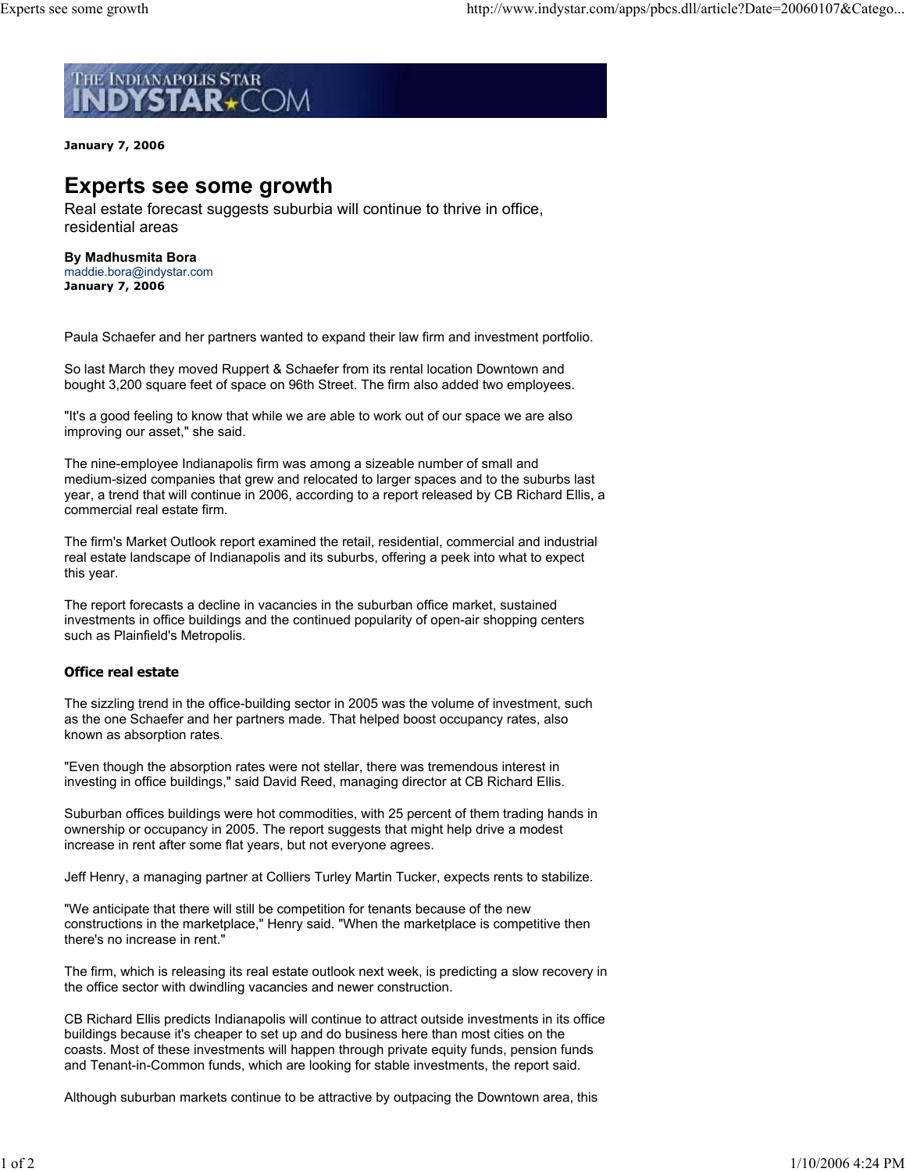

**January 7, 2006**

# **Experts see some growth**

Real estate forecast suggests suburbia will continue to thrive in office, residential areas

**By Madhusmita Bora** maddie.bora@indystar.com **January 7, 2006**

Paula Schaefer and her partners wanted to expand their law firm and investment portfolio.

So last March they moved Ruppert & Schaefer from its rental location Downtown and bought 3,200 square feet of space on 96th Street. The firm also added two employees.

"It's a good feeling to know that while we are able to work out of our space we are also improving our asset," she said.

The nine-employee Indianapolis firm was among a sizeable number of small and medium-sized companies that grew and relocated to larger spaces and to the suburbs last year, a trend that will continue in 2006, according to a report released by CB Richard Ellis, a commercial real estate firm.

The firm's Market Outlook report examined the retail, residential, commercial and industrial real estate landscape of Indianapolis and its suburbs, offering a peek into what to expect this year.

The report forecasts a decline in vacancies in the suburban office market, sustained investments in office buildings and the continued popularity of open-air shopping centers such as Plainfield's Metropolis.

## **Office real estate**

The sizzling trend in the office-building sector in 2005 was the volume of investment, such as the one Schaefer and her partners made. That helped boost occupancy rates, also known as absorption rates.

"Even though the absorption rates were not stellar, there was tremendous interest in investing in office buildings," said David Reed, managing director at CB Richard Ellis.

Suburban offices buildings were hot commodities, with 25 percent of them trading hands in ownership or occupancy in 2005. The report suggests that might help drive a modest increase in rent after some flat years, but not everyone agrees.

Jeff Henry, a managing partner at Colliers Turley Martin Tucker, expects rents to stabilize.

"We anticipate that there will still be competition for tenants because of the new constructions in the marketplace," Henry said. "When the marketplace is competitive then there's no increase in rent."

The firm, which is releasing its real estate outlook next week, is predicting a slow recovery in the office sector with dwindling vacancies and newer construction.

CB Richard Ellis predicts Indianapolis will continue to attract outside investments in its office buildings because it's cheaper to set up and do business here than most cities on the coasts. Most of these investments will happen through private equity funds, pension funds and Tenant-in-Common funds, which are looking for stable investments, the report said.

Although suburban markets continue to be attractive by outpacing the Downtown area, this